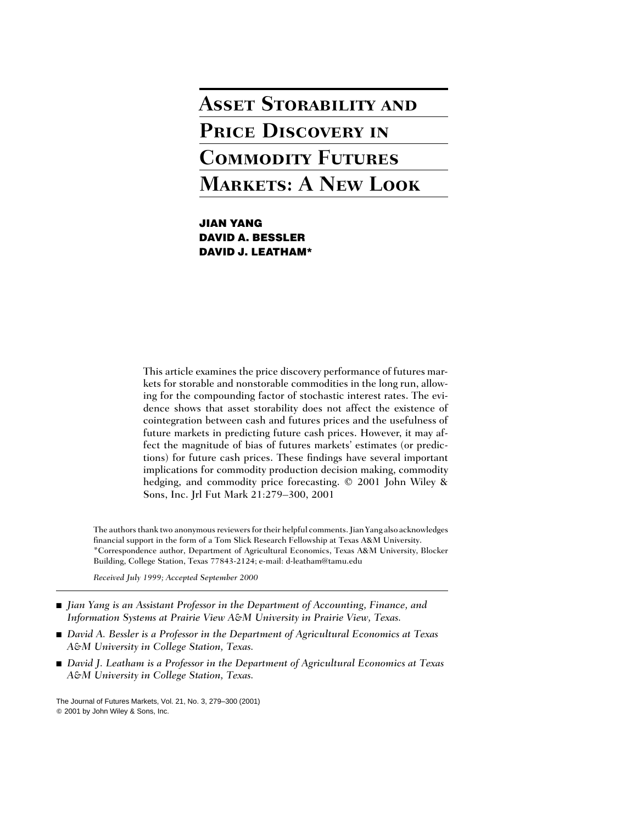# **Asset Storability and Price Discovery in Commodity Futures Markets:ANew Look**

**JIAN YANG DAVID A. BESSLER DAVID J. LEATHAM\***

This article examines the price discovery performance of futures markets for storable and nonstorable commodities in the long run, allowing for the compounding factor of stochastic interest rates. The evidence shows that asset storability does not affect the existence of cointegration between cash and futures prices and the usefulness of future markets in predicting future cash prices. However, it may affect the magnitude of bias of futures markets' estimates (or predictions) for future cash prices. These findings have several important implications for commodity production decision making, commodity hedging, and commodity price forecasting. © 2001 John Wiley & Sons, Inc. Jrl Fut Mark 21:279–300, 2001

The authors thank two anonymous reviewers for their helpful comments. Jian Yang also acknowledges financial support in the form of a Tom Slick Research Fellowship at Texas A&M University. \*Correspondence author, Department of Agricultural Economics, Texas A&M University, Blocker Building, College Station, Texas 77843-2124; e-mail: d-leatham@tamu.edu

*Received July 1999; Accepted September 2000*

- *Jian Yang is an Assistant Professor in the Department of Accounting, Finance, and Information Systems at Prairie View A&M University in Prairie View, Texas.*
- *David A. Bessler is a Professor in the Department of Agricultural Economics at Texas A&M University in College Station, Texas.*
- *David J. Leatham is a Professor in the Department of Agricultural Economics at Texas A&M University in College Station, Texas.*

The Journal of Futures Markets, Vol. 21, No. 3, 279–300 (2001) 2001 by John Wiley & Sons, Inc.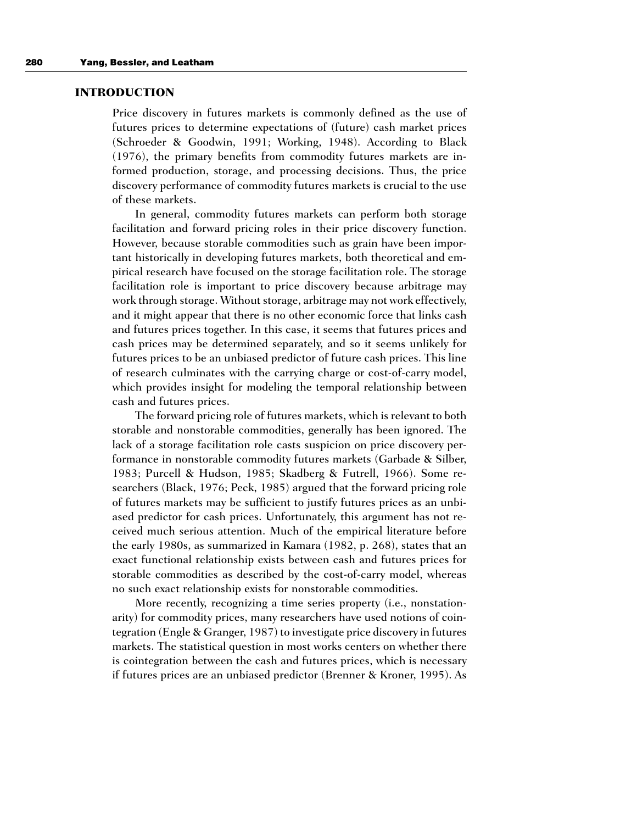## **INTRODUCTION**

Price discovery in futures markets is commonly defined as the use of futures prices to determine expectations of (future) cash market prices (Schroeder & Goodwin, 1991; Working, 1948). According to Black (1976), the primary benefits from commodity futures markets are informed production, storage, and processing decisions. Thus, the price discovery performance of commodity futures markets is crucial to the use of these markets.

In general, commodity futures markets can perform both storage facilitation and forward pricing roles in their price discovery function. However, because storable commodities such as grain have been important historically in developing futures markets, both theoretical and empirical research have focused on the storage facilitation role. The storage facilitation role is important to price discovery because arbitrage may work through storage. Without storage, arbitrage may not work effectively, and it might appear that there is no other economic force that links cash and futures prices together. In this case, it seems that futures prices and cash prices may be determined separately, and so it seems unlikely for futures prices to be an unbiased predictor of future cash prices. This line of research culminates with the carrying charge or cost-of-carry model, which provides insight for modeling the temporal relationship between cash and futures prices.

The forward pricing role of futures markets, which is relevant to both storable and nonstorable commodities, generally has been ignored. The lack of a storage facilitation role casts suspicion on price discovery performance in nonstorable commodity futures markets (Garbade & Silber, 1983; Purcell & Hudson, 1985; Skadberg & Futrell, 1966). Some researchers (Black, 1976; Peck, 1985) argued that the forward pricing role of futures markets may be sufficient to justify futures prices as an unbiased predictor for cash prices. Unfortunately, this argument has not received much serious attention. Much of the empirical literature before the early 1980s, as summarized in Kamara (1982, p. 268), states that an exact functional relationship exists between cash and futures prices for storable commodities as described by the cost-of-carry model, whereas no such exact relationship exists for nonstorable commodities.

More recently, recognizing a time series property (i.e., nonstationarity) for commodity prices, many researchers have used notions of cointegration (Engle & Granger, 1987) to investigate price discovery in futures markets. The statistical question in most works centers on whether there is cointegration between the cash and futures prices, which is necessary if futures prices are an unbiased predictor (Brenner & Kroner, 1995). As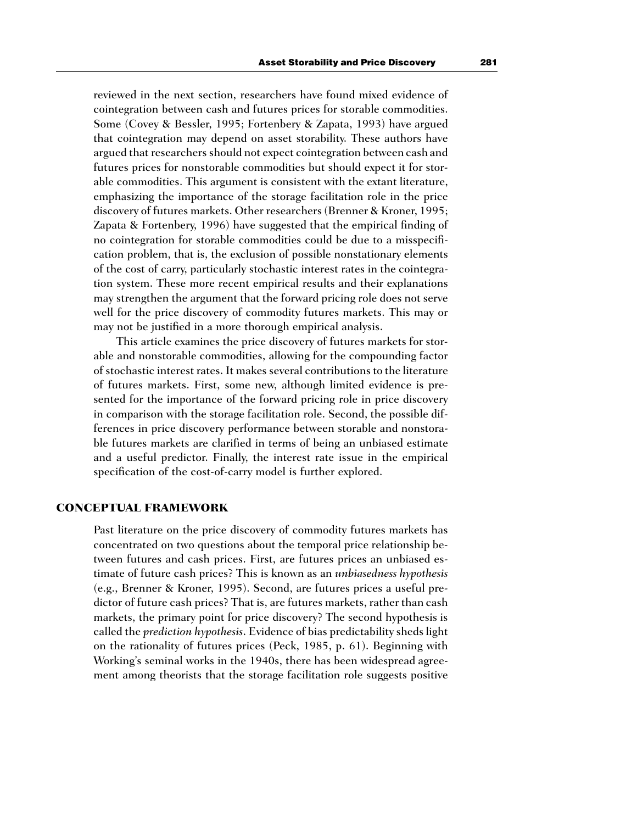reviewed in the next section, researchers have found mixed evidence of cointegration between cash and futures prices for storable commodities. Some (Covey & Bessler, 1995; Fortenbery & Zapata, 1993) have argued that cointegration may depend on asset storability. These authors have argued that researchers should not expect cointegration between cash and futures prices for nonstorable commodities but should expect it for storable commodities. This argument is consistent with the extant literature, emphasizing the importance of the storage facilitation role in the price discovery of futures markets. Other researchers (Brenner & Kroner, 1995; Zapata & Fortenbery, 1996) have suggested that the empirical finding of no cointegration for storable commodities could be due to a misspecification problem, that is, the exclusion of possible nonstationary elements of the cost of carry, particularly stochastic interest rates in the cointegration system. These more recent empirical results and their explanations may strengthen the argument that the forward pricing role does not serve well for the price discovery of commodity futures markets. This may or may not be justified in a more thorough empirical analysis.

This article examines the price discovery of futures markets for storable and nonstorable commodities, allowing for the compounding factor of stochastic interest rates. It makes several contributions to the literature of futures markets. First, some new, although limited evidence is presented for the importance of the forward pricing role in price discovery in comparison with the storage facilitation role. Second, the possible differences in price discovery performance between storable and nonstorable futures markets are clarified in terms of being an unbiased estimate and a useful predictor. Finally, the interest rate issue in the empirical specification of the cost-of-carry model is further explored.

## **CONCEPTUAL FRAMEWORK**

Past literature on the price discovery of commodity futures markets has concentrated on two questions about the temporal price relationship between futures and cash prices. First, are futures prices an unbiased estimate of future cash prices? This is known as an *unbiasedness hypothesis* (e.g., Brenner & Kroner, 1995). Second, are futures prices a useful predictor of future cash prices? That is, are futures markets, rather than cash markets, the primary point for price discovery? The second hypothesis is called the *prediction hypothesis*. Evidence of bias predictability sheds light on the rationality of futures prices (Peck, 1985, p. 61). Beginning with Working's seminal works in the 1940s, there has been widespread agreement among theorists that the storage facilitation role suggests positive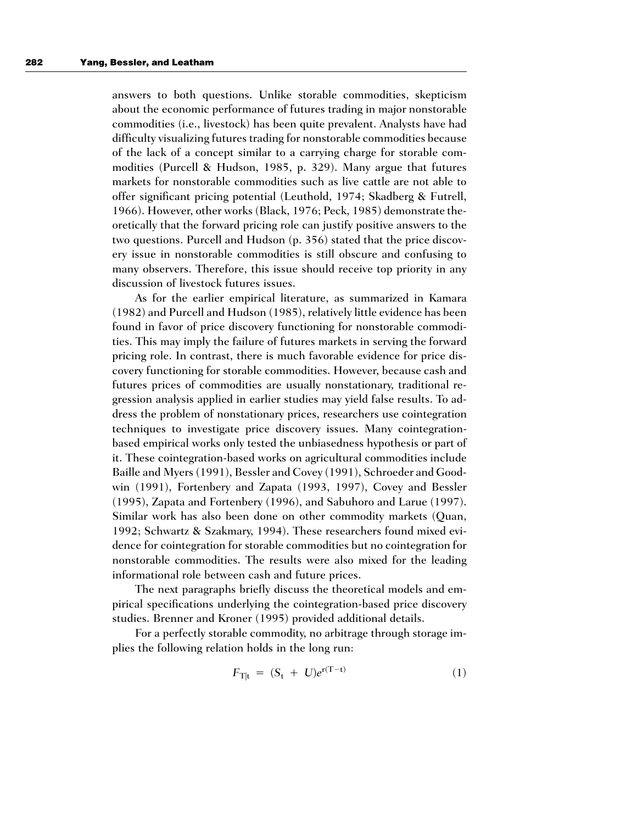answers to both questions. Unlike storable commodities, skepticism about the economic performance of futures trading in major nonstorable commodities (i.e., livestock) has been quite prevalent. Analysts have had difficulty visualizing futures trading for nonstorable commodities because of the lack of a concept similar to a carrying charge for storable commodities (Purcell & Hudson, 1985, p. 329). Many argue that futures markets for nonstorable commodities such as live cattle are not able to offer significant pricing potential (Leuthold, 1974; Skadberg & Futrell, 1966). However, other works (Black, 1976; Peck, 1985) demonstrate theoretically that the forward pricing role can justify positive answers to the two questions. Purcell and Hudson (p. 356) stated that the price discovery issue in nonstorable commodities is still obscure and confusing to many observers. Therefore, this issue should receive top priority in any discussion of livestock futures issues.

As for the earlier empirical literature, as summarized in Kamara (1982) and Purcell and Hudson (1985), relatively little evidence has been found in favor of price discovery functioning for nonstorable commodities. This may imply the failure of futures markets in serving the forward pricing role. In contrast, there is much favorable evidence for price discovery functioning for storable commodities. However, because cash and futures prices of commodities are usually nonstationary, traditional regression analysis applied in earlier studies may yield false results. To address the problem of nonstationary prices, researchers use cointegration techniques to investigate price discovery issues. Many cointegrationbased empirical works only tested the unbiasedness hypothesis or part of it. These cointegration-based works on agricultural commodities include Baille and Myers (1991), Bessler and Covey (1991), Schroeder and Goodwin (1991), Fortenbery and Zapata (1993, 1997), Covey and Bessler (1995), Zapata and Fortenbery (1996), and Sabuhoro and Larue (1997). Similar work has also been done on other commodity markets (Quan, 1992; Schwartz & Szakmary, 1994). These researchers found mixed evidence for cointegration for storable commodities but no cointegration for nonstorable commodities. The results were also mixed for the leading informational role between cash and future prices.

The next paragraphs briefly discuss the theoretical models and empirical specifications underlying the cointegration-based price discovery studies. Brenner and Kroner (1995) provided additional details.

For a perfectly storable commodity, no arbitrage through storage implies the following relation holds in the long run:

$$
F_{\mathrm{T}|t} = (S_t + U)e^{r(\mathrm{T}-t)} \tag{1}
$$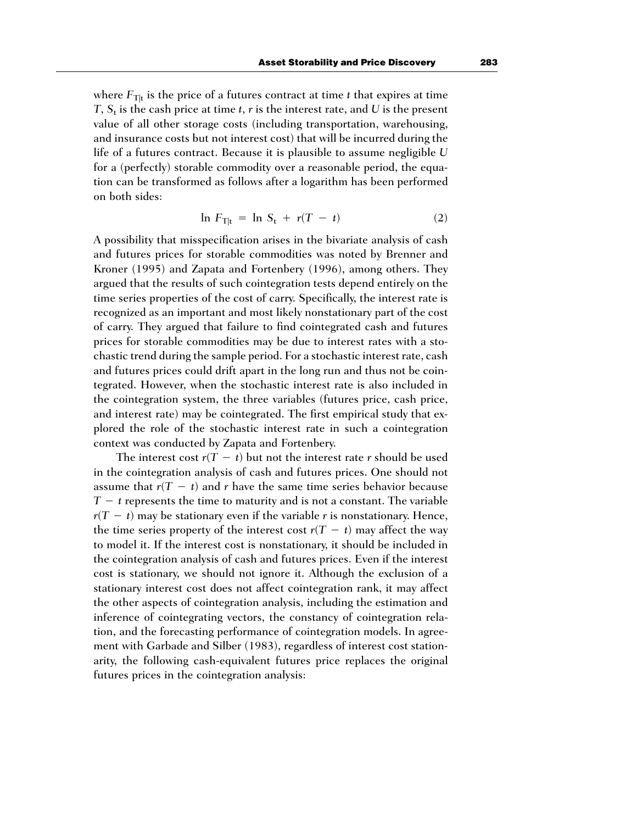where  $F_{\text{Th}}$  is the price of a futures contract at time *t* that expires at time *T*,  $S_t$  is the cash price at time *t*, *r* is the interest rate, and *U* is the present value of all other storage costs (including transportation, warehousing, and insurance costs but not interest cost) that will be incurred during the life of a futures contract. Because it is plausible to assume negligible *U* for a (perfectly) storable commodity over a reasonable period, the equation can be transformed as follows after a logarithm has been performed on both sides:

$$
\ln F_{\text{T}|t} = \ln S_t + r(T - t) \tag{2}
$$

A possibility that misspecification arises in the bivariate analysis of cash and futures prices for storable commodities was noted by Brenner and Kroner (1995) and Zapata and Fortenbery (1996), among others. They argued that the results of such cointegration tests depend entirely on the time series properties of the cost of carry. Specifically, the interest rate is recognized as an important and most likely nonstationary part of the cost of carry. They argued that failure to find cointegrated cash and futures prices for storable commodities may be due to interest rates with a stochastic trend during the sample period. For a stochastic interest rate, cash and futures prices could drift apart in the long run and thus not be cointegrated. However, when the stochastic interest rate is also included in the cointegration system, the three variables (futures price, cash price, and interest rate) may be cointegrated. The first empirical study that explored the role of the stochastic interest rate in such a cointegration context was conducted by Zapata and Fortenbery.

The interest cost  $r(T - t)$  but not the interest rate *r* should be used in the cointegration analysis of cash and futures prices. One should not assume that  $r(T - t)$  and *r* have the same time series behavior because  $T - t$  represents the time to maturity and is not a constant. The variable  $r(T - t)$  may be stationary even if the variable *r* is nonstationary. Hence, the time series property of the interest cost  $r(T - t)$  may affect the way to model it. If the interest cost is nonstationary, it should be included in the cointegration analysis of cash and futures prices. Even if the interest cost is stationary, we should not ignore it. Although the exclusion of a stationary interest cost does not affect cointegration rank, it may affect the other aspects of cointegration analysis, including the estimation and inference of cointegrating vectors, the constancy of cointegration relation, and the forecasting performance of cointegration models. In agreement with Garbade and Silber (1983), regardless of interest cost stationarity, the following cash-equivalent futures price replaces the original futures prices in the cointegration analysis: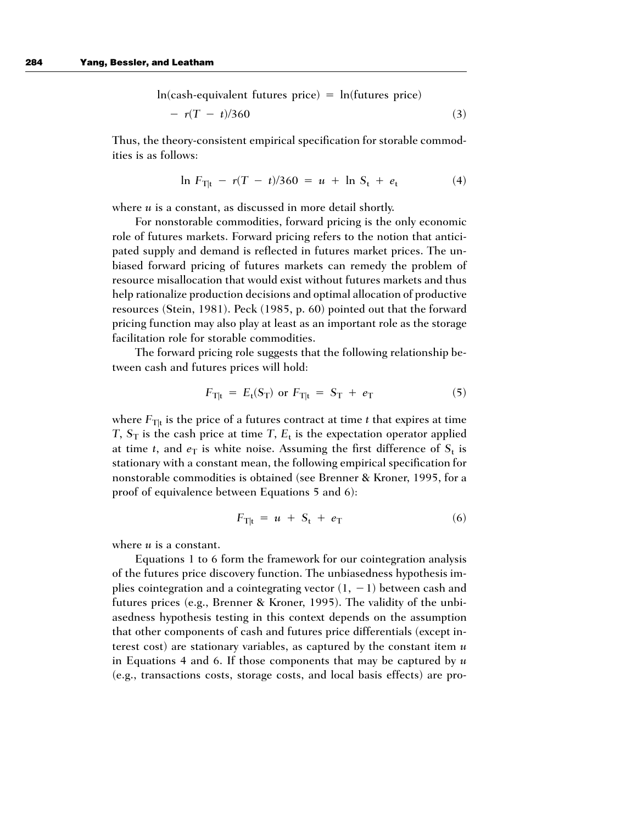$ln(cash-equivalent futures price) = ln(futures price)$ 

$$
-r(T - t)/360\tag{3}
$$

Thus, the theory-consistent empirical specification for storable commodities is as follows:

$$
\ln F_{T|t} - r(T - t)/360 = u + \ln S_t + e_t \tag{4}
$$

where *u* is a constant, as discussed in more detail shortly.

For nonstorable commodities, forward pricing is the only economic role of futures markets. Forward pricing refers to the notion that anticipated supply and demand is reflected in futures market prices. The unbiased forward pricing of futures markets can remedy the problem of resource misallocation that would exist without futures markets and thus help rationalize production decisions and optimal allocation of productive resources (Stein, 1981). Peck (1985, p. 60) pointed out that the forward pricing function may also play at least as an important role as the storage facilitation role for storable commodities.

The forward pricing role suggests that the following relationship between cash and futures prices will hold:

$$
F_{\text{T}|t} = E_{t}(S_{\text{T}}) \text{ or } F_{\text{T}|t} = S_{\text{T}} + e_{\text{T}} \tag{5}
$$

where  $F_{\text{Th}}$  is the price of a futures contract at time *t* that expires at time *T*,  $S_T$  is the cash price at time *T*,  $E_t$  is the expectation operator applied at time *t*, and  $e_T$  is white noise. Assuming the first difference of  $S_t$  is stationary with a constant mean, the following empirical specification for nonstorable commodities is obtained (see Brenner & Kroner, 1995, for a proof of equivalence between Equations 5 and 6):

$$
F_{\text{T}|t} = u + S_t + e_{\text{T}} \tag{6}
$$

where *u* is a constant.

Equations 1 to 6 form the framework for our cointegration analysis of the futures price discovery function. The unbiasedness hypothesis implies cointegration and a cointegrating vector  $(1, -1)$  between cash and futures prices (e.g., Brenner & Kroner, 1995). The validity of the unbiasedness hypothesis testing in this context depends on the assumption that other components of cash and futures price differentials (except interest cost) are stationary variables, as captured by the constant item *u* in Equations 4 and 6. If those components that may be captured by *u* (e.g., transactions costs, storage costs, and local basis effects) are pro-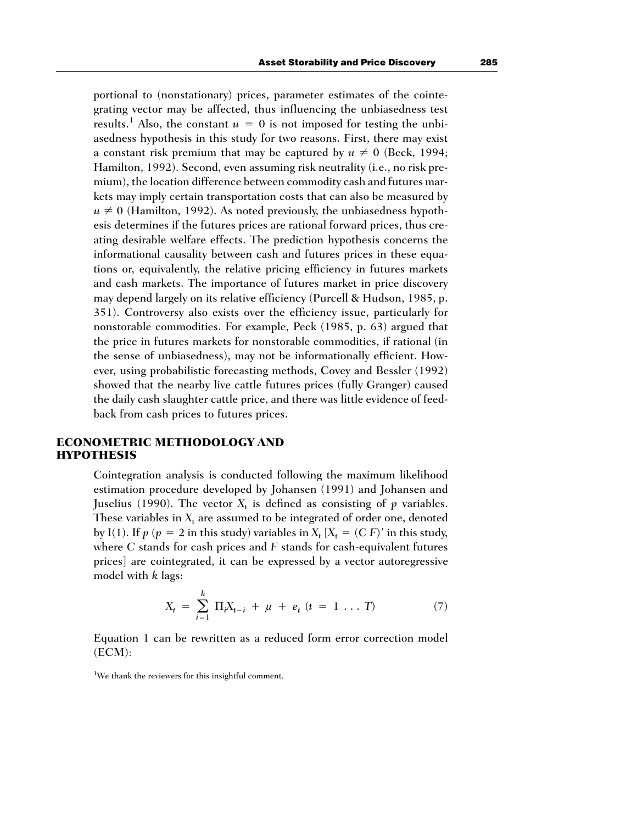portional to (nonstationary) prices, parameter estimates of the cointegrating vector may be affected, thus influencing the unbiasedness test results.<sup>1</sup> Also, the constant  $u = 0$  is not imposed for testing the unbiasedness hypothesis in this study for two reasons. First, there may exist a constant risk premium that may be captured by  $u \neq 0$  (Beck, 1994; Hamilton, 1992). Second, even assuming risk neutrality (i.e., no risk premium), the location difference between commodity cash and futures markets may imply certain transportation costs that can also be measured by  $u \neq 0$  (Hamilton, 1992). As noted previously, the unbiasedness hypothesis determines if the futures prices are rational forward prices, thus creating desirable welfare effects. The prediction hypothesis concerns the informational causality between cash and futures prices in these equations or, equivalently, the relative pricing efficiency in futures markets and cash markets. The importance of futures market in price discovery may depend largely on its relative efficiency (Purcell & Hudson, 1985, p. 351). Controversy also exists over the efficiency issue, particularly for nonstorable commodities. For example, Peck (1985, p. 63) argued that the price in futures markets for nonstorable commodities, if rational (in the sense of unbiasedness), may not be informationally efficient. However, using probabilistic forecasting methods, Covey and Bessler (1992) showed that the nearby live cattle futures prices (fully Granger) caused the daily cash slaughter cattle price, and there was little evidence of feedback from cash prices to futures prices.

## **ECONOMETRIC METHODOLOGY AND HYPOTHESIS**

Cointegration analysis is conducted following the maximum likelihood estimation procedure developed by Johansen (1991) and Johansen and Juselius (1990). The vector  $X_t$  is defined as consisting of  $p$  variables. These variables in  $X_t$  are assumed to be integrated of order one, denoted by I(1). If  $p (p = 2$  in this study) variables in  $X_t [X_t = (C F)'$  in this study, where *C* stands for cash prices and *F* stands for cash-equivalent futures prices] are cointegrated, it can be expressed by a vector autoregressive model with *k* lags:

$$
X_t = \sum_{i=1}^k \Pi_i X_{t-i} + \mu + e_t \ (t = 1 \dots T) \tag{7}
$$

Equation 1 can be rewritten as a reduced form error correction model (ECM):

<sup>&</sup>lt;sup>1</sup>We thank the reviewers for this insightful comment.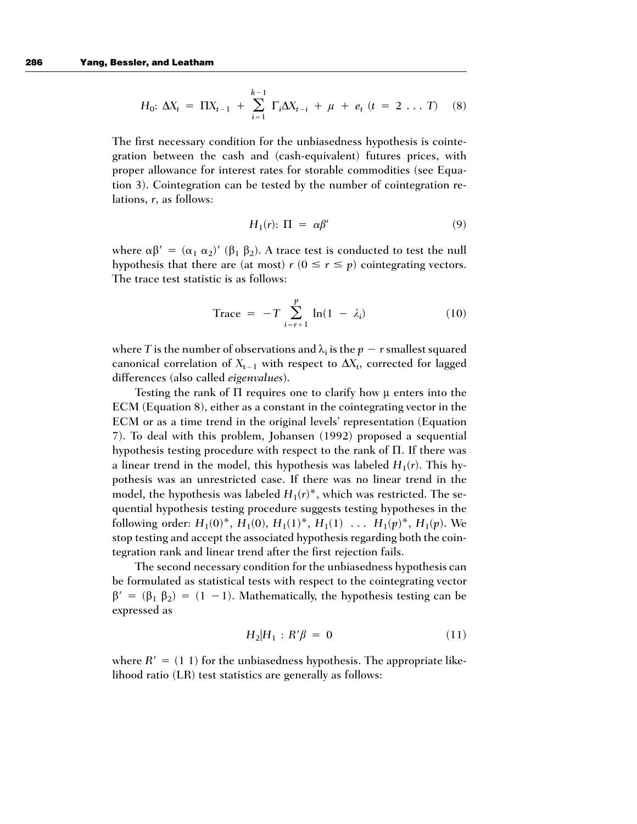$$
H_0: \Delta X_t = \Pi X_{t-1} + \sum_{i=1}^{k-1} \Gamma_i \Delta X_{t-i} + \mu + e_t \ (t = 2 \dots T) \quad (8)
$$

The first necessary condition for the unbiasedness hypothesis is cointegration between the cash and (cash-equivalent) futures prices, with proper allowance for interest rates for storable commodities (see Equation 3). Cointegration can be tested by the number of cointegration relations, *r*, as follows:

$$
H_1(r): \Pi = \alpha \beta' \tag{9}
$$

where  $\alpha \beta' = (\alpha_1 \alpha_2)' (\beta_1 \beta_2)$ . A trace test is conducted to test the null hypothesis that there are (at most)  $r$  ( $0 \le r \le p$ ) cointegrating vectors. The trace test statistic is as follows:

Trace = 
$$
-T \sum_{i=r+1}^{p} \ln(1 - \lambda_i)
$$
 (10)

where *T* is the number of observations and  $\lambda_i$  is the *p* - *r* smallest squared canonical correlation of  $X_{t-1}$  with respect to  $\Delta X_t$ , corrected for lagged differences (also called *eigenvalues*).

Testing the rank of  $\Pi$  requires one to clarify how  $\mu$  enters into the ECM (Equation 8), either as a constant in the cointegrating vector in the ECM or as a time trend in the original levels' representation (Equation 7). To deal with this problem, Johansen (1992) proposed a sequential hypothesis testing procedure with respect to the rank of  $\Pi$ . If there was a linear trend in the model, this hypothesis was labeled  $H_1(r)$ . This hypothesis was an unrestricted case. If there was no linear trend in the model, the hypothesis was labeled  $H_1(r)^*$ , which was restricted. The sequential hypothesis testing procedure suggests testing hypotheses in the following order:  $H_1(0)^*$ ,  $H_1(0)$ ,  $H_1(1)^*$ ,  $H_1(1)$  ...  $H_1(p)^*$ ,  $H_1(p)$ . We stop testing and accept the associated hypothesis regarding both the cointegration rank and linear trend after the first rejection fails.

The second necessary condition for the unbiasedness hypothesis can be formulated as statistical tests with respect to the cointegrating vector  $\beta' = (\beta_1 \beta_2) = (1 - 1)$ . Mathematically, the hypothesis testing can be expressed as

$$
H_2|H_1: R'\beta = 0 \tag{11}
$$

where  $R' = (1\ 1)$  for the unbiasedness hypothesis. The appropriate likelihood ratio (LR) test statistics are generally as follows: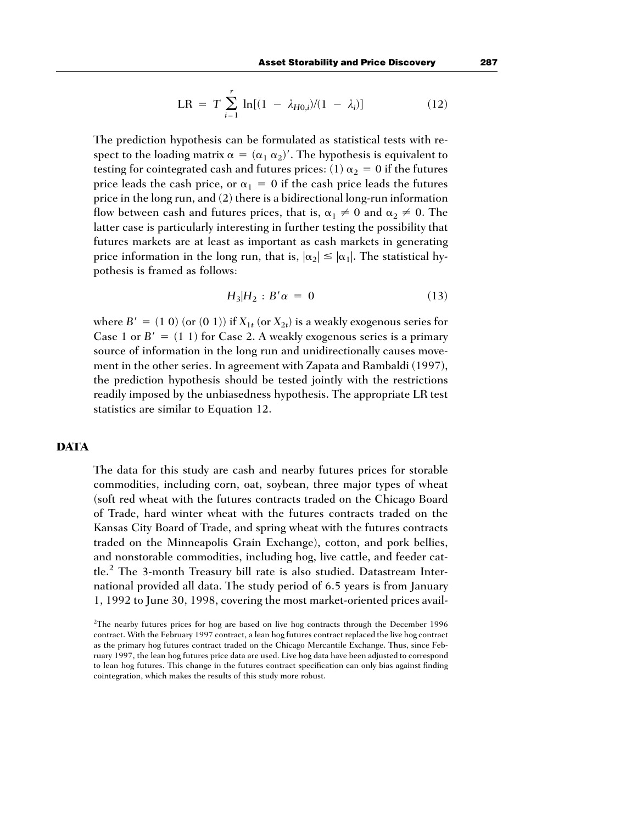$$
LR = T \sum_{i=1}^{r} \ln[(1 - \lambda_{H0,i})/(1 - \lambda_i)] \tag{12}
$$

The prediction hypothesis can be formulated as statistical tests with respect to the loading matrix  $\alpha = (\alpha_1 \alpha_2)'$ . The hypothesis is equivalent to testing for cointegrated cash and futures prices: (1)  $\alpha_2 = 0$  if the futures price leads the cash price, or  $\alpha_1 = 0$  if the cash price leads the futures price in the long run, and (2) there is a bidirectional long-run information flow between cash and futures prices, that is,  $\alpha_1 \neq 0$  and  $\alpha_2 \neq 0$ . The latter case is particularly interesting in further testing the possibility that futures markets are at least as important as cash markets in generating price information in the long run, that is,  $|\alpha_2| \leq |\alpha_1|$ . The statistical hypothesis is framed as follows:

$$
H_3|H_2: B'\alpha = 0 \tag{13}
$$

where  $B' = (1\ 0)$  (or  $(0\ 1)$ ) if  $X_{1t}$  (or  $X_{2t}$ ) is a weakly exogenous series for Case 1 or  $B' = (1\ 1)$  for Case 2. A weakly exogenous series is a primary source of information in the long run and unidirectionally causes movement in the other series. In agreement with Zapata and Rambaldi (1997), the prediction hypothesis should be tested jointly with the restrictions readily imposed by the unbiasedness hypothesis. The appropriate LR test statistics are similar to Equation 12.

## **DATA**

The data for this study are cash and nearby futures prices for storable commodities, including corn, oat, soybean, three major types of wheat (soft red wheat with the futures contracts traded on the Chicago Board of Trade, hard winter wheat with the futures contracts traded on the Kansas City Board of Trade, and spring wheat with the futures contracts traded on the Minneapolis Grain Exchange), cotton, and pork bellies, and nonstorable commodities, including hog, live cattle, and feeder cattle.2 The 3-month Treasury bill rate is also studied. Datastream International provided all data. The study period of 6.5 years is from January 1, 1992 to June 30, 1998, covering the most market-oriented prices avail-

<sup>&</sup>lt;sup>2</sup>The nearby futures prices for hog are based on live hog contracts through the December 1996 contract. With the February 1997 contract, a lean hog futures contract replaced the live hog contract as the primary hog futures contract traded on the Chicago Mercantile Exchange. Thus, since February 1997, the lean hog futures price data are used. Live hog data have been adjusted to correspond to lean hog futures. This change in the futures contract specification can only bias against finding cointegration, which makes the results of this study more robust.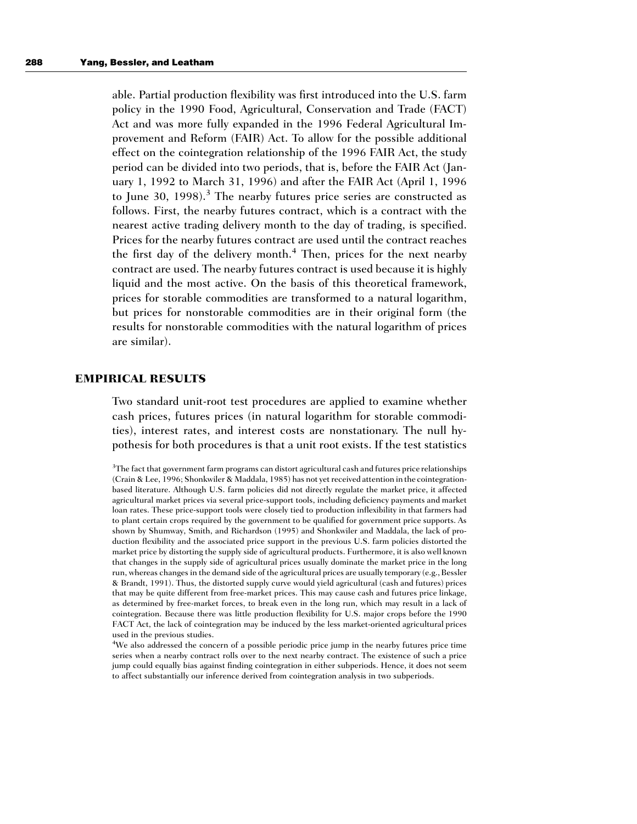able. Partial production flexibility was first introduced into the U.S. farm policy in the 1990 Food, Agricultural, Conservation and Trade (FACT) Act and was more fully expanded in the 1996 Federal Agricultural Improvement and Reform (FAIR) Act. To allow for the possible additional effect on the cointegration relationship of the 1996 FAIR Act, the study period can be divided into two periods, that is, before the FAIR Act (January 1, 1992 to March 31, 1996) and after the FAIR Act (April 1, 1996 to June 30, 1998).<sup>3</sup> The nearby futures price series are constructed as follows. First, the nearby futures contract, which is a contract with the nearest active trading delivery month to the day of trading, is specified. Prices for the nearby futures contract are used until the contract reaches the first day of the delivery month.<sup>4</sup> Then, prices for the next nearby contract are used. The nearby futures contract is used because it is highly liquid and the most active. On the basis of this theoretical framework, prices for storable commodities are transformed to a natural logarithm, but prices for nonstorable commodities are in their original form (the results for nonstorable commodities with the natural logarithm of prices are similar).

## **EMPIRICAL RESULTS**

Two standard unit-root test procedures are applied to examine whether cash prices, futures prices (in natural logarithm for storable commodities), interest rates, and interest costs are nonstationary. The null hypothesis for both procedures is that a unit root exists. If the test statistics

 $^3$ The fact that government farm programs can distort agricultural cash and futures price relationships (Crain & Lee, 1996; Shonkwiler & Maddala, 1985) has not yet received attention in the cointegrationbased literature. Although U.S. farm policies did not directly regulate the market price, it affected agricultural market prices via several price-support tools, including deficiency payments and market loan rates. These price-support tools were closely tied to production inflexibility in that farmers had to plant certain crops required by the government to be qualified for government price supports. As shown by Shumway, Smith, and Richardson (1995) and Shonkwiler and Maddala, the lack of production flexibility and the associated price support in the previous U.S. farm policies distorted the market price by distorting the supply side of agricultural products. Furthermore, it is also well known that changes in the supply side of agricultural prices usually dominate the market price in the long run, whereas changes in the demand side of the agricultural prices are usually temporary (e.g., Bessler & Brandt, 1991). Thus, the distorted supply curve would yield agricultural (cash and futures) prices that may be quite different from free-market prices. This may cause cash and futures price linkage, as determined by free-market forces, to break even in the long run, which may result in a lack of cointegration. Because there was little production flexibility for U.S. major crops before the 1990 FACT Act, the lack of cointegration may be induced by the less market-oriented agricultural prices used in the previous studies.

4 We also addressed the concern of a possible periodic price jump in the nearby futures price time series when a nearby contract rolls over to the next nearby contract. The existence of such a price jump could equally bias against finding cointegration in either subperiods. Hence, it does not seem to affect substantially our inference derived from cointegration analysis in two subperiods.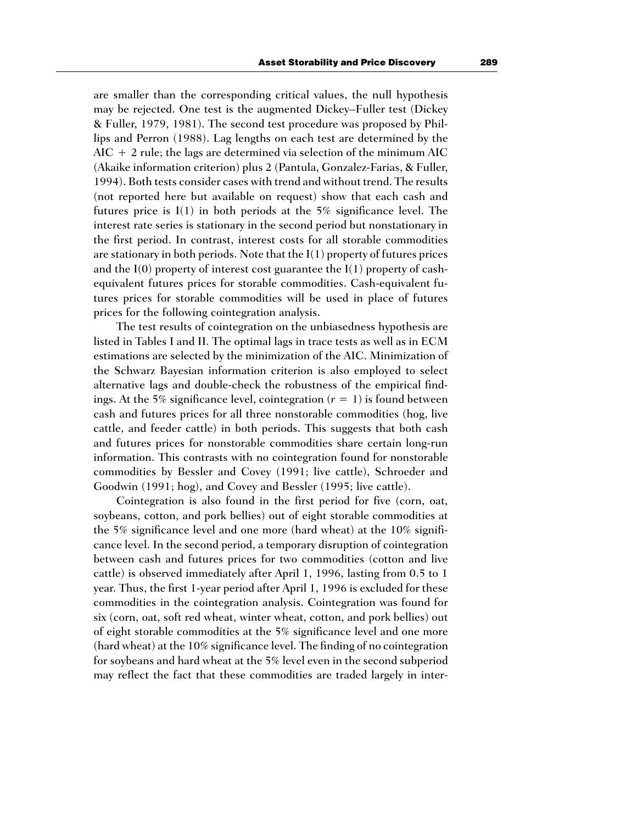are smaller than the corresponding critical values, the null hypothesis may be rejected. One test is the augmented Dickey–Fuller test (Dickey & Fuller, 1979, 1981). The second test procedure was proposed by Phillips and Perron (1988). Lag lengths on each test are determined by the  $AIC + 2$  rule; the lags are determined via selection of the minimum AIC (Akaike information criterion) plus 2 (Pantula, Gonzalez-Farias, & Fuller, 1994). Both tests consider cases with trend and without trend. The results (not reported here but available on request) show that each cash and futures price is I(1) in both periods at the 5% significance level. The interest rate series is stationary in the second period but nonstationary in the first period. In contrast, interest costs for all storable commodities are stationary in both periods. Note that the  $I(1)$  property of futures prices and the  $I(0)$  property of interest cost guarantee the  $I(1)$  property of cashequivalent futures prices for storable commodities. Cash-equivalent futures prices for storable commodities will be used in place of futures prices for the following cointegration analysis.

The test results of cointegration on the unbiasedness hypothesis are listed in Tables I and II. The optimal lags in trace tests as well as in ECM estimations are selected by the minimization of the AIC. Minimization of the Schwarz Bayesian information criterion is also employed to select alternative lags and double-check the robustness of the empirical findings. At the 5% significance level, cointegration  $(r = 1)$  is found between cash and futures prices for all three nonstorable commodities (hog, live cattle, and feeder cattle) in both periods. This suggests that both cash and futures prices for nonstorable commodities share certain long-run information. This contrasts with no cointegration found for nonstorable commodities by Bessler and Covey (1991; live cattle), Schroeder and Goodwin (1991; hog), and Covey and Bessler (1995; live cattle).

Cointegration is also found in the first period for five (corn, oat, soybeans, cotton, and pork bellies) out of eight storable commodities at the 5% significance level and one more (hard wheat) at the 10% significance level. In the second period, a temporary disruption of cointegration between cash and futures prices for two commodities (cotton and live cattle) is observed immediately after April 1, 1996, lasting from 0.5 to 1 year. Thus, the first 1-year period after April 1, 1996 is excluded for these commodities in the cointegration analysis. Cointegration was found for six (corn, oat, soft red wheat, winter wheat, cotton, and pork bellies) out of eight storable commodities at the 5% significance level and one more (hard wheat) at the 10% significance level. The finding of no cointegration for soybeans and hard wheat at the 5% level even in the second subperiod may reflect the fact that these commodities are traded largely in inter-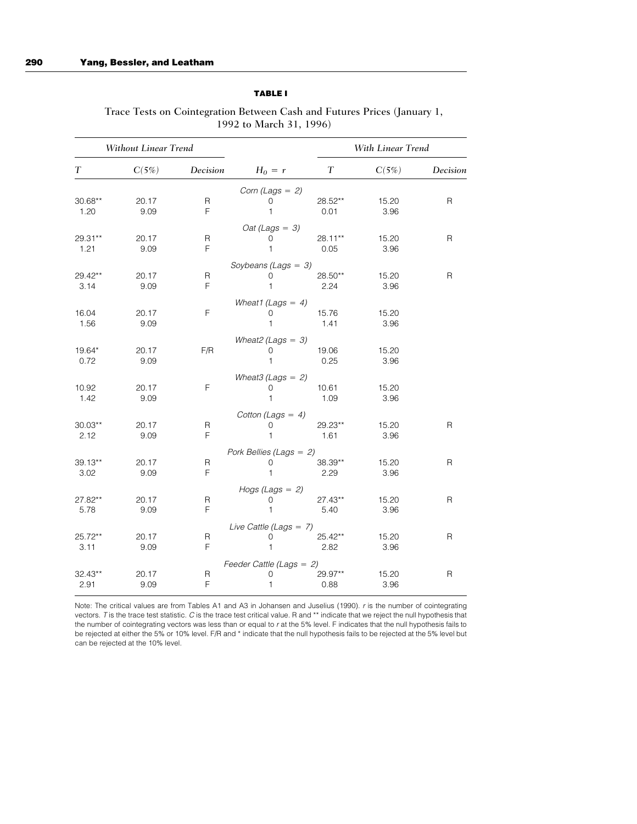### **TABLE I**

| Without Linear Trend |               |                        |                                                 | With Linear Trend |               |              |
|----------------------|---------------|------------------------|-------------------------------------------------|-------------------|---------------|--------------|
| T                    | C(5%)         | Decision               | $H_0 = r$                                       | T                 | C(5%)         | Decision     |
| $30.68**$<br>1.20    | 20.17<br>9.09 | R<br>F                 | Corn (Lags $= 2$ )<br>0<br>1                    | 28.52**<br>0.01   | 15.20<br>3.96 | $\mathsf R$  |
| 29.31**<br>1.21      | 20.17<br>9.09 | $\sf R$<br>F           | Oat (Lags = $3$ )<br>0<br>1                     | 28.11**<br>0.05   | 15.20<br>3.96 | $\sf R$      |
| 29.42**<br>3.14      | 20.17<br>9.09 | R<br>F                 | Soybeans (Lags = $3$ )<br>0<br>1                | 28.50**<br>2.24   | 15.20<br>3.96 | R            |
| 16.04<br>1.56        | 20.17<br>9.09 | $\mathsf F$            | Wheat1 (Lags = $4$ )<br>0<br>1                  | 15.76<br>1.41     | 15.20<br>3.96 |              |
| 19.64*<br>0.72       | 20.17<br>9.09 | F/R                    | Wheat2 (Lags = $3$ )<br>0<br>1                  | 19.06<br>0.25     | 15.20<br>3.96 |              |
| 10.92<br>1.42        | 20.17<br>9.09 | $\mathsf F$            | Wheat3 (Lags = $2$ )<br>0<br>1                  | 10.61<br>1.09     | 15.20<br>3.96 |              |
| 30.03**<br>2.12      | 20.17<br>9.09 | R<br>F                 | Cotton (Lags = $4$ )<br>0<br>1                  | 29.23**<br>1.61   | 15.20<br>3.96 | R            |
| 39.13**<br>3.02      | 20.17<br>9.09 | $\sf R$<br>F           | Pork Bellies (Lags = 2)<br>0<br>1               | 38.39**<br>2.29   | 15.20<br>3.96 | $\sf R$      |
| 27.82**<br>5.78      | 20.17<br>9.09 | R<br>F                 | $Hogs$ (Lags = 2)<br>0<br>1                     | 27.43**<br>5.40   | 15.20<br>3.96 | R            |
| 25.72**<br>3.11      | 20.17<br>9.09 | $\sf R$<br>$\mathsf F$ | Live Cattle (Lags = $7$ )<br>$\mathbf 0$<br>1   | 25.42**<br>2.82   | 15.20<br>3.96 | $\mathsf{R}$ |
| 32.43**<br>2.91      | 20.17<br>9.09 | R<br>$\mathsf F$       | Feeder Cattle (Lags = $2$ )<br>$\mathbf 0$<br>1 | 29.97**<br>0.88   | 15.20<br>3.96 | $\mathsf{R}$ |

Trace Tests on Cointegration Between Cash and Futures Prices (January 1, 1992 to March 31, 1996)

Note: The critical values are from Tables A1 and A3 in Johansen and Juselius (1990). *r* is the number of cointegrating vectors. *T* is the trace test statistic. *C* is the trace test critical value. R and \*\* indicate that we reject the null hypothesis that the number of cointegrating vectors was less than or equal to *r* at the 5% level. F indicates that the null hypothesis fails to be rejected at either the 5% or 10% level. F/R and \* indicate that the null hypothesis fails to be rejected at the 5% level but can be rejected at the 10% level.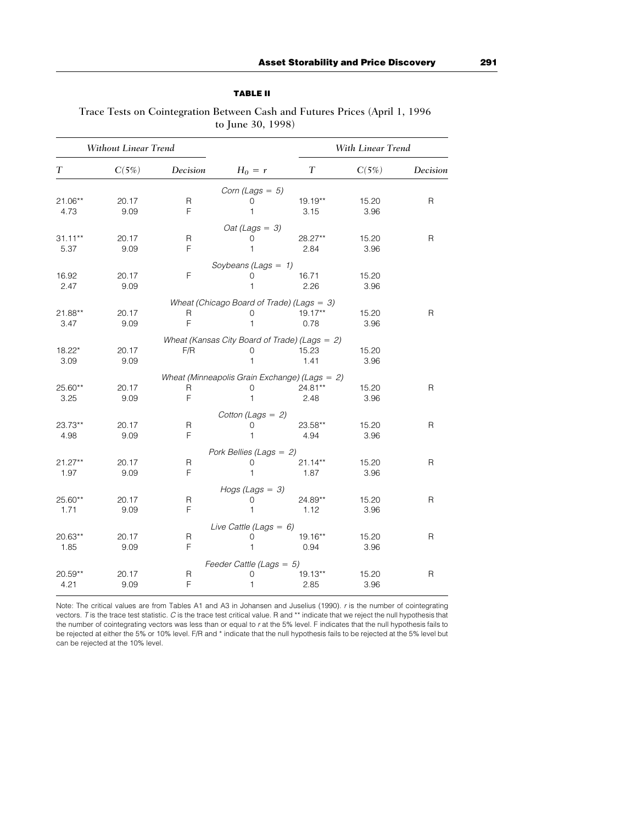|  | TABLE II |  |
|--|----------|--|

Trace Tests on Cointegration Between Cash and Futures Prices (April 1, 1996 to June 30, 1998)

| Without Linear Trend |       |              |                                               | With Linear Trend |       |              |
|----------------------|-------|--------------|-----------------------------------------------|-------------------|-------|--------------|
| T                    | C(5%) | Decision     | $H_0 = r$                                     | T                 | C(5%) | Decision     |
|                      |       |              | Corn (Lags = $5$ )                            |                   |       |              |
| $21.06**$            | 20.17 | $\mathsf R$  | 0                                             | $19.19**$         | 15.20 | $\mathsf{R}$ |
| 4.73                 | 9.09  | F            | 1                                             | 3.15              | 3.96  |              |
|                      |       |              | $Out (Lags = 3)$                              |                   |       |              |
| $31.11**$            | 20.17 | R            | 0                                             | 28.27**           | 15.20 | R            |
| 5.37                 | 9.09  | F            | 1                                             | 2.84              | 3.96  |              |
|                      |       |              | Soybeans (Lags = $1$ )                        |                   |       |              |
| 16.92                | 20.17 | F            | 0                                             | 16.71             | 15.20 |              |
| 2.47                 | 9.09  |              | 1                                             | 2.26              | 3.96  |              |
|                      |       |              | Wheat (Chicago Board of Trade) (Lags = $3$ )  |                   |       |              |
| 21.88**              | 20.17 | R            | 0                                             | 19.17**           | 15.20 | R            |
| 3.47                 | 9.09  | $\mathsf{F}$ | $\mathbf{1}$                                  | 0.78              | 3.96  |              |
|                      |       |              | Wheat (Kansas City Board of Trade) (Lags = 2) |                   |       |              |
| $18.22*$             | 20.17 | F/R          | 0                                             | 15.23             | 15.20 |              |
| 3.09                 | 9.09  |              | 1                                             | 1.41              | 3.96  |              |
|                      |       |              | Wheat (Minneapolis Grain Exchange) (Lags = 2) |                   |       |              |
| 25.60**              | 20.17 | R            | 0                                             | 24.81**           | 15.20 | $\mathsf{R}$ |
| 3.25                 | 9.09  | F            | 1                                             | 2.48              | 3.96  |              |
|                      |       |              | Cotton (Lags = $2$ )                          |                   |       |              |
| 23.73**              | 20.17 | $\mathsf R$  | 0                                             | 23.58**           | 15.20 | $\mathsf R$  |
| 4.98                 | 9.09  | F            | 1                                             | 4.94              | 3.96  |              |
|                      |       |              | Pork Bellies (Lags = $2$ )                    |                   |       |              |
| $21.27**$            | 20.17 | $\mathsf R$  | 0                                             | $21.14**$         | 15.20 | R            |
| 1.97                 | 9.09  | F            | 1                                             | 1.87              | 3.96  |              |
|                      |       |              | $Hogs$ (Lags = 3)                             |                   |       |              |
| 25.60**              | 20.17 | R            | 0                                             | 24.89**           | 15.20 | R            |
| 1.71                 | 9.09  | F            | 1                                             | 1.12              | 3.96  |              |
|                      |       |              | Live Cattle (Lags = $6$ )                     |                   |       |              |
| 20.63**              | 20.17 | $\sf R$      | 0                                             | 19.16**           | 15.20 | $\mathsf R$  |
| 1.85                 | 9.09  | F            | 1                                             | 0.94              | 3.96  |              |
|                      |       |              | Feeder Cattle (Lags = $5$ )                   |                   |       |              |
| $20.59**$            | 20.17 | R            | 0                                             | 19.13**           | 15.20 | $\mathsf R$  |
| 4.21                 | 9.09  | F            | 1                                             | 2.85              | 3.96  |              |
|                      |       |              |                                               |                   |       |              |

Note: The critical values are from Tables A1 and A3 in Johansen and Juselius (1990). *r* is the number of cointegrating vectors. *T* is the trace test statistic. *C* is the trace test critical value. R and \*\* indicate that we reject the null hypothesis that the number of cointegrating vectors was less than or equal to *r* at the 5% level. F indicates that the null hypothesis fails to be rejected at either the 5% or 10% level. F/R and \* indicate that the null hypothesis fails to be rejected at the 5% level but can be rejected at the 10% level.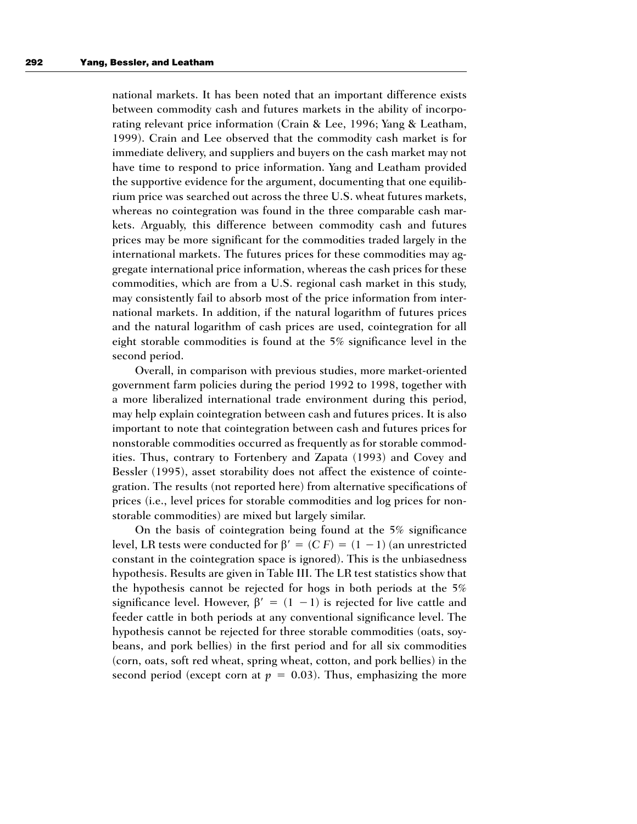national markets. It has been noted that an important difference exists between commodity cash and futures markets in the ability of incorporating relevant price information (Crain & Lee, 1996; Yang & Leatham, 1999). Crain and Lee observed that the commodity cash market is for immediate delivery, and suppliers and buyers on the cash market may not have time to respond to price information. Yang and Leatham provided the supportive evidence for the argument, documenting that one equilibrium price was searched out across the three U.S. wheat futures markets, whereas no cointegration was found in the three comparable cash markets. Arguably, this difference between commodity cash and futures prices may be more significant for the commodities traded largely in the international markets. The futures prices for these commodities may aggregate international price information, whereas the cash prices for these commodities, which are from a U.S. regional cash market in this study, may consistently fail to absorb most of the price information from international markets. In addition, if the natural logarithm of futures prices and the natural logarithm of cash prices are used, cointegration for all eight storable commodities is found at the 5% significance level in the second period.

Overall, in comparison with previous studies, more market-oriented government farm policies during the period 1992 to 1998, together with a more liberalized international trade environment during this period, may help explain cointegration between cash and futures prices. It is also important to note that cointegration between cash and futures prices for nonstorable commodities occurred as frequently as for storable commodities. Thus, contrary to Fortenbery and Zapata (1993) and Covey and Bessler (1995), asset storability does not affect the existence of cointegration. The results (not reported here) from alternative specifications of prices (i.e., level prices for storable commodities and log prices for nonstorable commodities) are mixed but largely similar.

On the basis of cointegration being found at the 5% significance level, LR tests were conducted for  $\beta' = (C F) = (1 - 1)$  (an unrestricted constant in the cointegration space is ignored). This is the unbiasedness hypothesis. Results are given in Table III. The LR test statistics show that the hypothesis cannot be rejected for hogs in both periods at the 5% significance level. However,  $\beta' = (1 - 1)$  is rejected for live cattle and feeder cattle in both periods at any conventional significance level. The hypothesis cannot be rejected for three storable commodities (oats, soybeans, and pork bellies) in the first period and for all six commodities (corn, oats, soft red wheat, spring wheat, cotton, and pork bellies) in the second period (except corn at  $p = 0.03$ ). Thus, emphasizing the more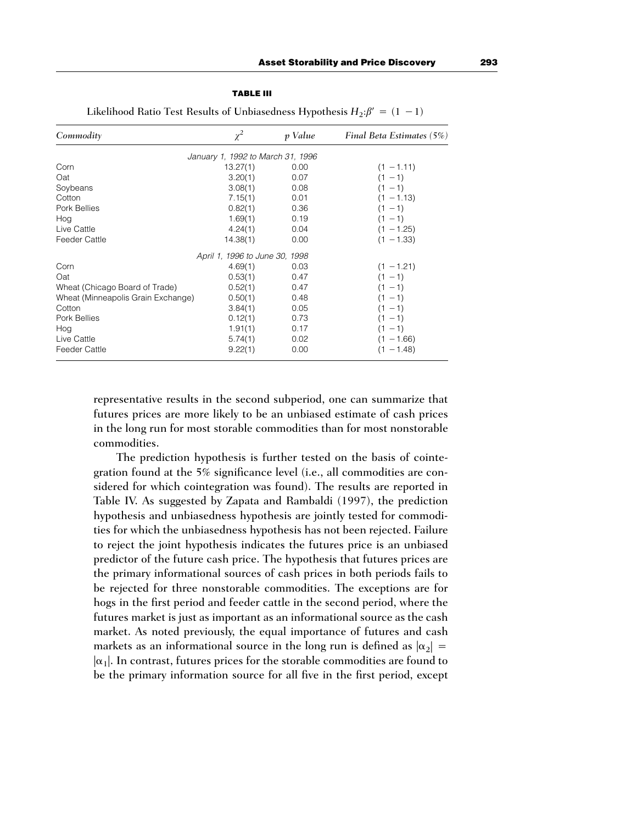#### **TABLE III**

| Commodity                          | $\chi^2$                          | p Value | Final Beta Estimates (5%) |
|------------------------------------|-----------------------------------|---------|---------------------------|
|                                    | January 1, 1992 to March 31, 1996 |         |                           |
| Corn                               | 13.27(1)                          | 0.00    | $(1 - 1.11)$              |
| Oat                                | 3.20(1)                           | 0.07    | $(1 - 1)$                 |
| Soybeans                           | 3.08(1)                           | 0.08    | $(1 - 1)$                 |
| Cotton                             | 7.15(1)                           | 0.01    | $(1 - 1.13)$              |
| Pork Bellies                       | 0.82(1)                           | 0.36    | $(1 - 1)$                 |
| Hog                                | 1.69(1)                           | 0.19    | $(1 - 1)$                 |
| Live Cattle                        | 4.24(1)                           | 0.04    | $(1 - 1.25)$              |
| Feeder Cattle                      | 14.38(1)                          | 0.00    | $(1 - 1.33)$              |
|                                    | April 1, 1996 to June 30, 1998    |         |                           |
| Corn                               | 4.69(1)                           | 0.03    | $(1 - 1.21)$              |
| Oat                                | 0.53(1)                           | 0.47    | $(1 - 1)$                 |
| Wheat (Chicago Board of Trade)     | 0.52(1)                           | 0.47    | $(1 - 1)$                 |
| Wheat (Minneapolis Grain Exchange) | 0.50(1)                           | 0.48    | $(1 - 1)$                 |
| Cotton                             | 3.84(1)                           | 0.05    | $(1 - 1)$                 |
| Pork Bellies                       | 0.12(1)                           | 0.73    | $(1 - 1)$                 |
| Hog                                | 1.91(1)                           | 0.17    | $(1 - 1)$                 |
| Live Cattle                        | 5.74(1)                           | 0.02    | $(1 - 1.66)$              |
| <b>Feeder Cattle</b>               | 9.22(1)                           | 0.00    | $(1 - 1.48)$              |

Likelihood Ratio Test Results of Unbiasedness Hypothesis  $H_2: \beta' = (1 - 1)$ 

representative results in the second subperiod, one can summarize that futures prices are more likely to be an unbiased estimate of cash prices in the long run for most storable commodities than for most nonstorable commodities.

The prediction hypothesis is further tested on the basis of cointegration found at the 5% significance level (i.e., all commodities are considered for which cointegration was found). The results are reported in Table IV. As suggested by Zapata and Rambaldi (1997), the prediction hypothesis and unbiasedness hypothesis are jointly tested for commodities for which the unbiasedness hypothesis has not been rejected. Failure to reject the joint hypothesis indicates the futures price is an unbiased predictor of the future cash price. The hypothesis that futures prices are the primary informational sources of cash prices in both periods fails to be rejected for three nonstorable commodities. The exceptions are for hogs in the first period and feeder cattle in the second period, where the futures market is just as important as an informational source as the cash market. As noted previously, the equal importance of futures and cash markets as an informational source in the long run is defined as  $|\alpha_2|$  =  $|\alpha_1|$ . In contrast, futures prices for the storable commodities are found to be the primary information source for all five in the first period, except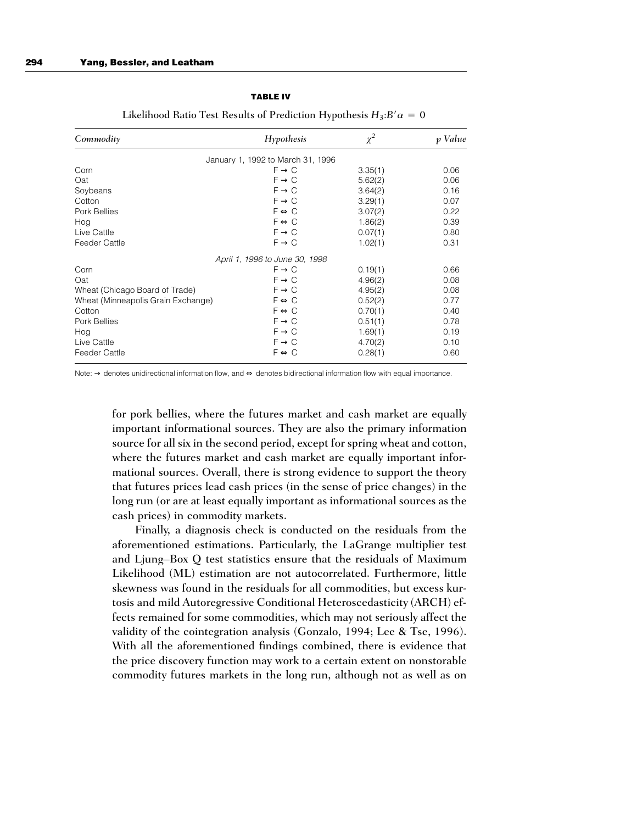#### **TABLE IV**

| Commodity                          | <b>Hypothesis</b>                 | $\chi^2$ | p Value |
|------------------------------------|-----------------------------------|----------|---------|
|                                    | January 1, 1992 to March 31, 1996 |          |         |
| Corn                               | $F \rightarrow C$                 | 3.35(1)  | 0.06    |
| Oat                                | $F \rightarrow C$                 | 5.62(2)  | 0.06    |
| Soybeans                           | $F \rightarrow C$                 | 3.64(2)  | 0.16    |
| Cotton                             | $F \rightarrow C$                 | 3.29(1)  | 0.07    |
| Pork Bellies                       | $F \Leftrightarrow C$             | 3.07(2)  | 0.22    |
| Hog                                | $F \Leftrightarrow C$             | 1.86(2)  | 0.39    |
| Live Cattle                        | $F \rightarrow C$                 | 0.07(1)  | 0.80    |
| Feeder Cattle                      | $F \rightarrow C$                 | 1.02(1)  | 0.31    |
|                                    | April 1, 1996 to June 30, 1998    |          |         |
| Corn                               | $F \rightarrow C$                 | 0.19(1)  | 0.66    |
| Oat                                | $F \rightarrow C$                 | 4.96(2)  | 0.08    |
| Wheat (Chicago Board of Trade)     | $F \rightarrow C$                 | 4.95(2)  | 0.08    |
| Wheat (Minneapolis Grain Exchange) | $F \Leftrightarrow C$             | 0.52(2)  | 0.77    |
| Cotton                             | $F \Leftrightarrow C$             | 0.70(1)  | 0.40    |
| Pork Bellies                       | $F \rightarrow C$                 | 0.51(1)  | 0.78    |
| Hog                                | $F \rightarrow C$                 | 1.69(1)  | 0.19    |
| Live Cattle                        | $F \rightarrow C$                 | 4.70(2)  | 0.10    |
| Feeder Cattle                      | $F \Leftrightarrow C$             | 0.28(1)  | 0.60    |

#### Likelihood Ratio Test Results of Prediction Hypothesis  $H_3$ :*B'*  $\alpha = 0$

Note: → denotes unidirectional information flow, and ⇔ denotes bidirectional information flow with equal importance.

for pork bellies, where the futures market and cash market are equally important informational sources. They are also the primary information source for all six in the second period, except for spring wheat and cotton, where the futures market and cash market are equally important informational sources. Overall, there is strong evidence to support the theory that futures prices lead cash prices (in the sense of price changes) in the long run (or are at least equally important as informational sources as the cash prices) in commodity markets.

Finally, a diagnosis check is conducted on the residuals from the aforementioned estimations. Particularly, the LaGrange multiplier test and Ljung–Box Q test statistics ensure that the residuals of Maximum Likelihood (ML) estimation are not autocorrelated. Furthermore, little skewness was found in the residuals for all commodities, but excess kurtosis and mild Autoregressive Conditional Heteroscedasticity (ARCH) effects remained for some commodities, which may not seriously affect the validity of the cointegration analysis (Gonzalo, 1994; Lee & Tse, 1996). With all the aforementioned findings combined, there is evidence that the price discovery function may work to a certain extent on nonstorable commodity futures markets in the long run, although not as well as on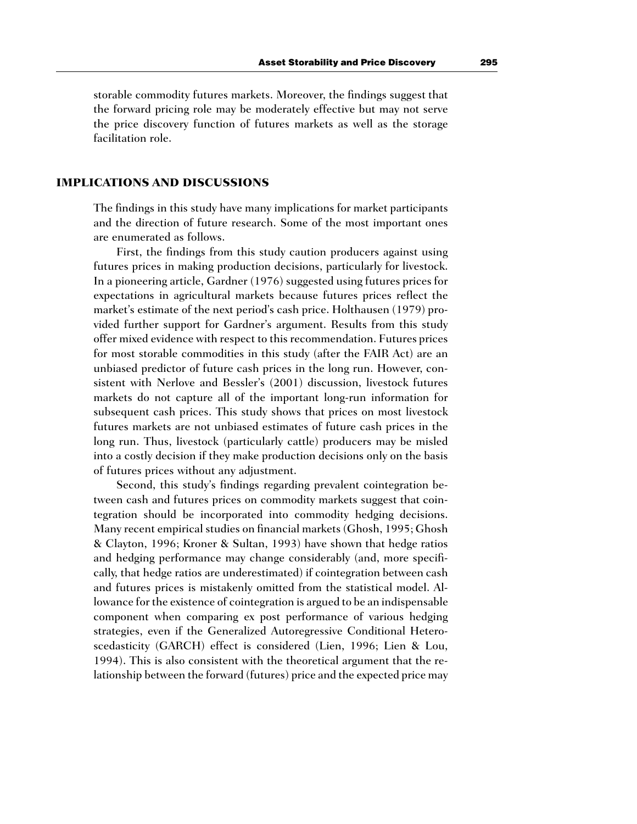storable commodity futures markets. Moreover, the findings suggest that the forward pricing role may be moderately effective but may not serve the price discovery function of futures markets as well as the storage facilitation role.

# **IMPLICATIONS AND DISCUSSIONS**

The findings in this study have many implications for market participants and the direction of future research. Some of the most important ones are enumerated as follows.

First, the findings from this study caution producers against using futures prices in making production decisions, particularly for livestock. In a pioneering article, Gardner (1976) suggested using futures prices for expectations in agricultural markets because futures prices reflect the market's estimate of the next period's cash price. Holthausen (1979) provided further support for Gardner's argument. Results from this study offer mixed evidence with respect to this recommendation. Futures prices for most storable commodities in this study (after the FAIR Act) are an unbiased predictor of future cash prices in the long run. However, consistent with Nerlove and Bessler's (2001) discussion, livestock futures markets do not capture all of the important long-run information for subsequent cash prices. This study shows that prices on most livestock futures markets are not unbiased estimates of future cash prices in the long run. Thus, livestock (particularly cattle) producers may be misled into a costly decision if they make production decisions only on the basis of futures prices without any adjustment.

Second, this study's findings regarding prevalent cointegration between cash and futures prices on commodity markets suggest that cointegration should be incorporated into commodity hedging decisions. Many recent empirical studies on financial markets (Ghosh, 1995; Ghosh & Clayton, 1996; Kroner & Sultan, 1993) have shown that hedge ratios and hedging performance may change considerably (and, more specifically, that hedge ratios are underestimated) if cointegration between cash and futures prices is mistakenly omitted from the statistical model. Allowance for the existence of cointegration is argued to be an indispensable component when comparing ex post performance of various hedging strategies, even if the Generalized Autoregressive Conditional Heteroscedasticity (GARCH) effect is considered (Lien, 1996; Lien & Lou, 1994). This is also consistent with the theoretical argument that the relationship between the forward (futures) price and the expected price may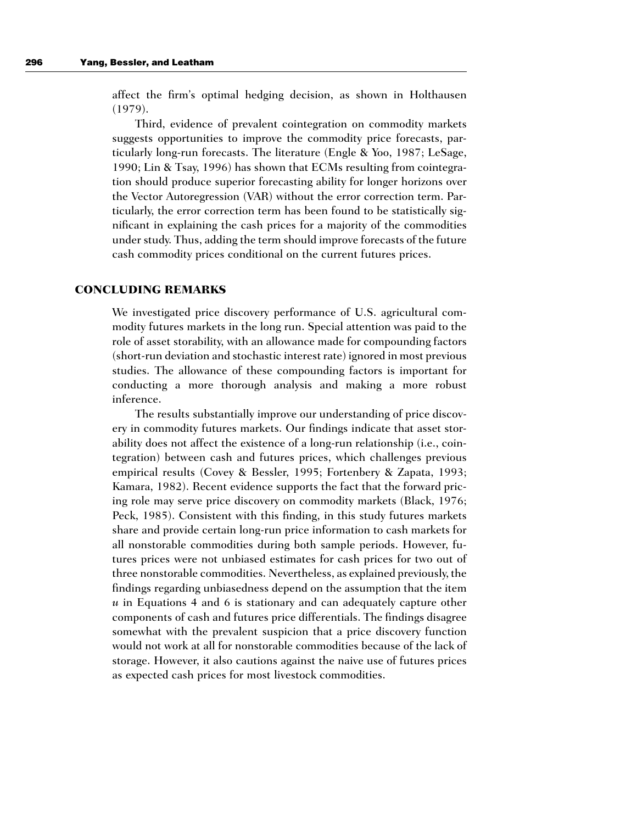affect the firm's optimal hedging decision, as shown in Holthausen (1979).

Third, evidence of prevalent cointegration on commodity markets suggests opportunities to improve the commodity price forecasts, particularly long-run forecasts. The literature (Engle & Yoo, 1987; LeSage, 1990; Lin & Tsay, 1996) has shown that ECMs resulting from cointegration should produce superior forecasting ability for longer horizons over the Vector Autoregression (VAR) without the error correction term. Particularly, the error correction term has been found to be statistically significant in explaining the cash prices for a majority of the commodities under study. Thus, adding the term should improve forecasts of the future cash commodity prices conditional on the current futures prices.

## **CONCLUDING REMARKS**

We investigated price discovery performance of U.S. agricultural commodity futures markets in the long run. Special attention was paid to the role of asset storability, with an allowance made for compounding factors (short-run deviation and stochastic interest rate) ignored in most previous studies. The allowance of these compounding factors is important for conducting a more thorough analysis and making a more robust inference.

The results substantially improve our understanding of price discovery in commodity futures markets. Our findings indicate that asset storability does not affect the existence of a long-run relationship (i.e., cointegration) between cash and futures prices, which challenges previous empirical results (Covey & Bessler, 1995; Fortenbery & Zapata, 1993; Kamara, 1982). Recent evidence supports the fact that the forward pricing role may serve price discovery on commodity markets (Black, 1976; Peck, 1985). Consistent with this finding, in this study futures markets share and provide certain long-run price information to cash markets for all nonstorable commodities during both sample periods. However, futures prices were not unbiased estimates for cash prices for two out of three nonstorable commodities. Nevertheless, as explained previously, the findings regarding unbiasedness depend on the assumption that the item *u* in Equations 4 and 6 is stationary and can adequately capture other components of cash and futures price differentials. The findings disagree somewhat with the prevalent suspicion that a price discovery function would not work at all for nonstorable commodities because of the lack of storage. However, it also cautions against the naive use of futures prices as expected cash prices for most livestock commodities.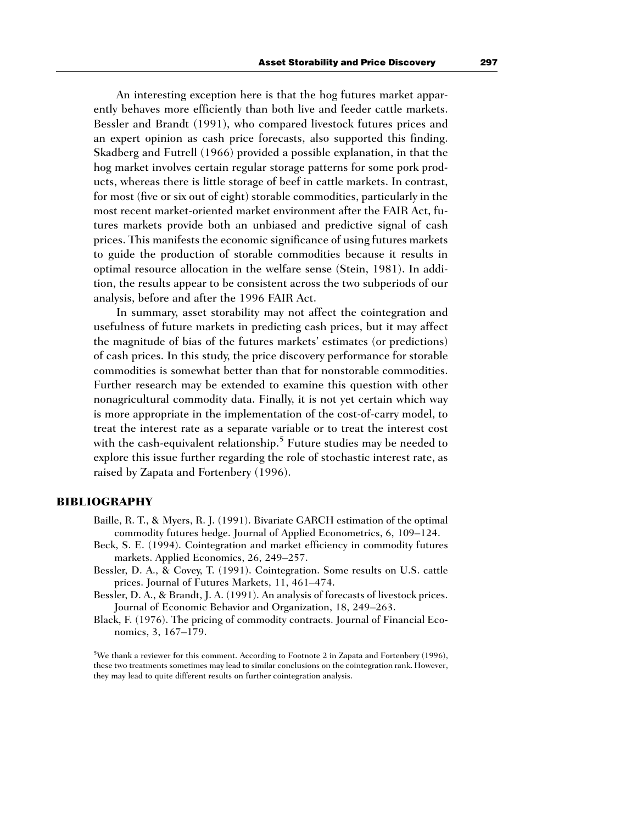An interesting exception here is that the hog futures market apparently behaves more efficiently than both live and feeder cattle markets. Bessler and Brandt (1991), who compared livestock futures prices and an expert opinion as cash price forecasts, also supported this finding. Skadberg and Futrell (1966) provided a possible explanation, in that the hog market involves certain regular storage patterns for some pork products, whereas there is little storage of beef in cattle markets. In contrast, for most (five or six out of eight) storable commodities, particularly in the most recent market-oriented market environment after the FAIR Act, futures markets provide both an unbiased and predictive signal of cash prices. This manifests the economic significance of using futures markets to guide the production of storable commodities because it results in optimal resource allocation in the welfare sense (Stein, 1981). In addition, the results appear to be consistent across the two subperiods of our analysis, before and after the 1996 FAIR Act.

In summary, asset storability may not affect the cointegration and usefulness of future markets in predicting cash prices, but it may affect the magnitude of bias of the futures markets' estimates (or predictions) of cash prices. In this study, the price discovery performance for storable commodities is somewhat better than that for nonstorable commodities. Further research may be extended to examine this question with other nonagricultural commodity data. Finally, it is not yet certain which way is more appropriate in the implementation of the cost-of-carry model, to treat the interest rate as a separate variable or to treat the interest cost with the cash-equivalent relationship.<sup>5</sup> Future studies may be needed to explore this issue further regarding the role of stochastic interest rate, as raised by Zapata and Fortenbery (1996).

## **BIBLIOGRAPHY**

- Baille, R. T., & Myers, R. J. (1991). Bivariate GARCH estimation of the optimal commodity futures hedge. Journal of Applied Econometrics, 6, 109–124.
- Beck, S. E. (1994). Cointegration and market efficiency in commodity futures markets. Applied Economics, 26, 249–257.
- Bessler, D. A., & Covey, T. (1991). Cointegration. Some results on U.S. cattle prices. Journal of Futures Markets, 11, 461–474.
- Bessler, D. A., & Brandt, J. A. (1991). An analysis of forecasts of livestock prices. Journal of Economic Behavior and Organization, 18, 249–263.
- Black, F. (1976). The pricing of commodity contracts. Journal of Financial Economics, 3, 167–179.

<sup>5</sup>We thank a reviewer for this comment. According to Footnote 2 in Zapata and Fortenbery (1996), these two treatments sometimes may lead to similar conclusions on the cointegration rank. However, they may lead to quite different results on further cointegration analysis.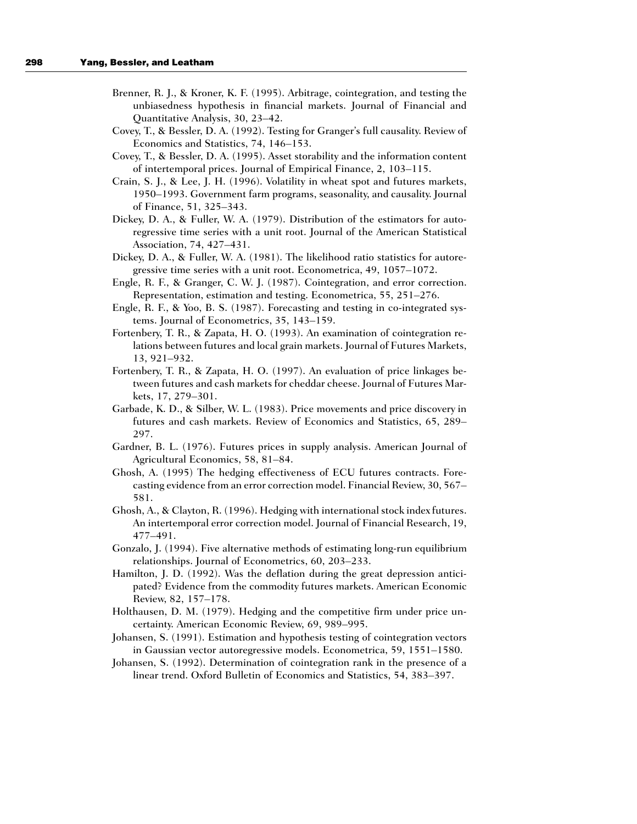- Brenner, R. J., & Kroner, K. F. (1995). Arbitrage, cointegration, and testing the unbiasedness hypothesis in financial markets. Journal of Financial and Quantitative Analysis, 30, 23–42.
- Covey, T., & Bessler, D. A. (1992). Testing for Granger's full causality. Review of Economics and Statistics, 74, 146–153.
- Covey, T., & Bessler, D. A. (1995). Asset storability and the information content of intertemporal prices. Journal of Empirical Finance, 2, 103–115.
- Crain, S. J., & Lee, J. H. (1996). Volatility in wheat spot and futures markets, 1950–1993. Government farm programs, seasonality, and causality. Journal of Finance, 51, 325–343.
- Dickey, D. A., & Fuller, W. A. (1979). Distribution of the estimators for autoregressive time series with a unit root. Journal of the American Statistical Association, 74, 427–431.
- Dickey, D. A., & Fuller, W. A. (1981). The likelihood ratio statistics for autoregressive time series with a unit root. Econometrica, 49, 1057–1072.
- Engle, R. F., & Granger, C. W. J. (1987). Cointegration, and error correction. Representation, estimation and testing. Econometrica, 55, 251–276.
- Engle, R. F., & Yoo, B. S. (1987). Forecasting and testing in co-integrated systems. Journal of Econometrics, 35, 143–159.
- Fortenbery, T. R., & Zapata, H. O. (1993). An examination of cointegration relations between futures and local grain markets. Journal of Futures Markets, 13, 921–932.
- Fortenbery, T. R., & Zapata, H. O. (1997). An evaluation of price linkages between futures and cash markets for cheddar cheese. Journal of Futures Markets, 17, 279–301.
- Garbade, K. D., & Silber, W. L. (1983). Price movements and price discovery in futures and cash markets. Review of Economics and Statistics, 65, 289– 297.
- Gardner, B. L. (1976). Futures prices in supply analysis. American Journal of Agricultural Economics, 58, 81–84.
- Ghosh, A. (1995) The hedging effectiveness of ECU futures contracts. Forecasting evidence from an error correction model. Financial Review, 30, 567– 581.
- Ghosh, A., & Clayton, R. (1996). Hedging with international stock index futures. An intertemporal error correction model. Journal of Financial Research, 19, 477–491.
- Gonzalo, J. (1994). Five alternative methods of estimating long-run equilibrium relationships. Journal of Econometrics, 60, 203–233.
- Hamilton, J. D. (1992). Was the deflation during the great depression anticipated? Evidence from the commodity futures markets. American Economic Review, 82, 157–178.
- Holthausen, D. M. (1979). Hedging and the competitive firm under price uncertainty. American Economic Review, 69, 989–995.
- Johansen, S. (1991). Estimation and hypothesis testing of cointegration vectors in Gaussian vector autoregressive models. Econometrica, 59, 1551–1580.
- Johansen, S. (1992). Determination of cointegration rank in the presence of a linear trend. Oxford Bulletin of Economics and Statistics, 54, 383–397.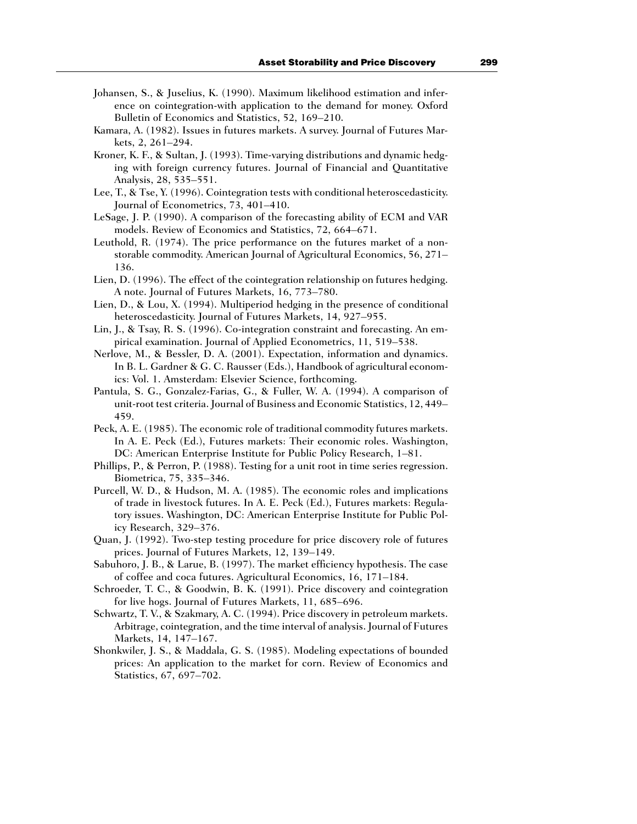- Johansen, S., & Juselius, K. (1990). Maximum likelihood estimation and inference on cointegration-with application to the demand for money. Oxford Bulletin of Economics and Statistics, 52, 169–210.
- Kamara, A. (1982). Issues in futures markets. A survey. Journal of Futures Markets, 2, 261–294.
- Kroner, K. F., & Sultan, J. (1993). Time-varying distributions and dynamic hedging with foreign currency futures. Journal of Financial and Quantitative Analysis, 28, 535–551.
- Lee, T., & Tse, Y. (1996). Cointegration tests with conditional heteroscedasticity. Journal of Econometrics, 73, 401–410.
- LeSage, J. P. (1990). A comparison of the forecasting ability of ECM and VAR models. Review of Economics and Statistics, 72, 664–671.
- Leuthold, R. (1974). The price performance on the futures market of a nonstorable commodity. American Journal of Agricultural Economics, 56, 271– 136.
- Lien, D. (1996). The effect of the cointegration relationship on futures hedging. A note. Journal of Futures Markets, 16, 773–780.
- Lien, D., & Lou, X. (1994). Multiperiod hedging in the presence of conditional heteroscedasticity. Journal of Futures Markets, 14, 927–955.
- Lin, J., & Tsay, R. S. (1996). Co-integration constraint and forecasting. An empirical examination. Journal of Applied Econometrics, 11, 519–538.
- Nerlove, M., & Bessler, D. A. (2001). Expectation, information and dynamics. In B. L. Gardner & G. C. Rausser (Eds.), Handbook of agricultural economics: Vol. 1. Amsterdam: Elsevier Science, forthcoming.
- Pantula, S. G., Gonzalez-Farias, G., & Fuller, W. A. (1994). A comparison of unit-root test criteria. Journal of Business and Economic Statistics, 12, 449– 459.
- Peck, A. E. (1985). The economic role of traditional commodity futures markets. In A. E. Peck (Ed.), Futures markets: Their economic roles. Washington, DC: American Enterprise Institute for Public Policy Research, 1–81.
- Phillips, P., & Perron, P. (1988). Testing for a unit root in time series regression. Biometrica, 75, 335–346.
- Purcell, W. D., & Hudson, M. A. (1985). The economic roles and implications of trade in livestock futures. In A. E. Peck (Ed.), Futures markets: Regulatory issues. Washington, DC: American Enterprise Institute for Public Policy Research, 329–376.
- Quan, J. (1992). Two-step testing procedure for price discovery role of futures prices. Journal of Futures Markets, 12, 139–149.
- Sabuhoro, J. B., & Larue, B. (1997). The market efficiency hypothesis. The case of coffee and coca futures. Agricultural Economics, 16, 171–184.
- Schroeder, T. C., & Goodwin, B. K. (1991). Price discovery and cointegration for live hogs. Journal of Futures Markets, 11, 685–696.
- Schwartz, T. V., & Szakmary, A. C. (1994). Price discovery in petroleum markets. Arbitrage, cointegration, and the time interval of analysis. Journal of Futures Markets, 14, 147–167.
- Shonkwiler, J. S., & Maddala, G. S. (1985). Modeling expectations of bounded prices: An application to the market for corn. Review of Economics and Statistics, 67, 697–702.